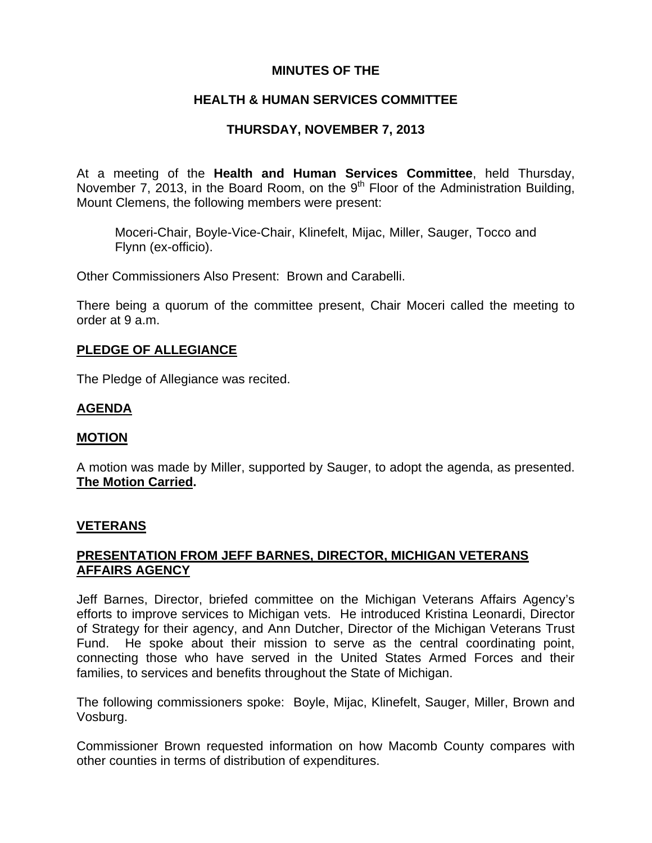## **MINUTES OF THE**

# **HEALTH & HUMAN SERVICES COMMITTEE**

# **THURSDAY, NOVEMBER 7, 2013**

At a meeting of the **Health and Human Services Committee**, held Thursday, November 7, 2013, in the Board Room, on the  $9<sup>th</sup>$  Floor of the Administration Building, Mount Clemens, the following members were present:

Moceri-Chair, Boyle-Vice-Chair, Klinefelt, Mijac, Miller, Sauger, Tocco and Flynn (ex-officio).

Other Commissioners Also Present: Brown and Carabelli.

There being a quorum of the committee present, Chair Moceri called the meeting to order at 9 a.m.

## **PLEDGE OF ALLEGIANCE**

The Pledge of Allegiance was recited.

# **AGENDA**

## **MOTION**

A motion was made by Miller, supported by Sauger, to adopt the agenda, as presented. **The Motion Carried.** 

# **VETERANS**

# **PRESENTATION FROM JEFF BARNES, DIRECTOR, MICHIGAN VETERANS AFFAIRS AGENCY**

Jeff Barnes, Director, briefed committee on the Michigan Veterans Affairs Agency's efforts to improve services to Michigan vets. He introduced Kristina Leonardi, Director of Strategy for their agency, and Ann Dutcher, Director of the Michigan Veterans Trust Fund. He spoke about their mission to serve as the central coordinating point, connecting those who have served in the United States Armed Forces and their families, to services and benefits throughout the State of Michigan.

The following commissioners spoke: Boyle, Mijac, Klinefelt, Sauger, Miller, Brown and Vosburg.

Commissioner Brown requested information on how Macomb County compares with other counties in terms of distribution of expenditures.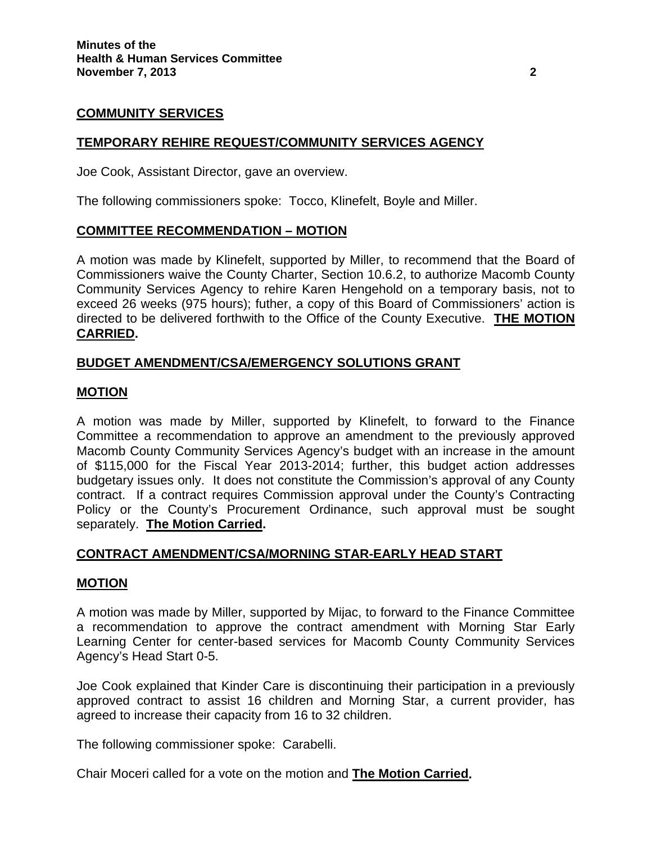## **COMMUNITY SERVICES**

## **TEMPORARY REHIRE REQUEST/COMMUNITY SERVICES AGENCY**

Joe Cook, Assistant Director, gave an overview.

The following commissioners spoke: Tocco, Klinefelt, Boyle and Miller.

## **COMMITTEE RECOMMENDATION – MOTION**

A motion was made by Klinefelt, supported by Miller, to recommend that the Board of Commissioners waive the County Charter, Section 10.6.2, to authorize Macomb County Community Services Agency to rehire Karen Hengehold on a temporary basis, not to exceed 26 weeks (975 hours); futher, a copy of this Board of Commissioners' action is directed to be delivered forthwith to the Office of the County Executive. **THE MOTION CARRIED.** 

## **BUDGET AMENDMENT/CSA/EMERGENCY SOLUTIONS GRANT**

## **MOTION**

A motion was made by Miller, supported by Klinefelt, to forward to the Finance Committee a recommendation to approve an amendment to the previously approved Macomb County Community Services Agency's budget with an increase in the amount of \$115,000 for the Fiscal Year 2013-2014; further, this budget action addresses budgetary issues only. It does not constitute the Commission's approval of any County contract. If a contract requires Commission approval under the County's Contracting Policy or the County's Procurement Ordinance, such approval must be sought separately. **The Motion Carried.** 

# **CONTRACT AMENDMENT/CSA/MORNING STAR-EARLY HEAD START**

#### **MOTION**

A motion was made by Miller, supported by Mijac, to forward to the Finance Committee a recommendation to approve the contract amendment with Morning Star Early Learning Center for center-based services for Macomb County Community Services Agency's Head Start 0-5.

Joe Cook explained that Kinder Care is discontinuing their participation in a previously approved contract to assist 16 children and Morning Star, a current provider, has agreed to increase their capacity from 16 to 32 children.

The following commissioner spoke: Carabelli.

Chair Moceri called for a vote on the motion and **The Motion Carried.**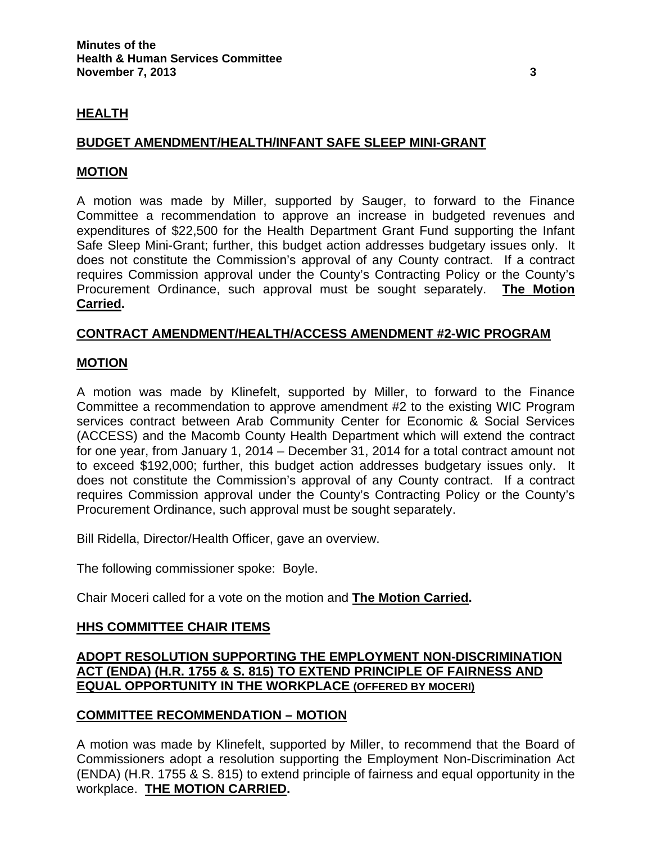# **HEALTH**

## **BUDGET AMENDMENT/HEALTH/INFANT SAFE SLEEP MINI-GRANT**

### **MOTION**

A motion was made by Miller, supported by Sauger, to forward to the Finance Committee a recommendation to approve an increase in budgeted revenues and expenditures of \$22,500 for the Health Department Grant Fund supporting the Infant Safe Sleep Mini-Grant; further, this budget action addresses budgetary issues only. It does not constitute the Commission's approval of any County contract. If a contract requires Commission approval under the County's Contracting Policy or the County's Procurement Ordinance, such approval must be sought separately. **The Motion Carried.** 

## **CONTRACT AMENDMENT/HEALTH/ACCESS AMENDMENT #2-WIC PROGRAM**

## **MOTION**

A motion was made by Klinefelt, supported by Miller, to forward to the Finance Committee a recommendation to approve amendment #2 to the existing WIC Program services contract between Arab Community Center for Economic & Social Services (ACCESS) and the Macomb County Health Department which will extend the contract for one year, from January 1, 2014 – December 31, 2014 for a total contract amount not to exceed \$192,000; further, this budget action addresses budgetary issues only. It does not constitute the Commission's approval of any County contract. If a contract requires Commission approval under the County's Contracting Policy or the County's Procurement Ordinance, such approval must be sought separately.

Bill Ridella, Director/Health Officer, gave an overview.

The following commissioner spoke: Boyle.

Chair Moceri called for a vote on the motion and **The Motion Carried.** 

## **HHS COMMITTEE CHAIR ITEMS**

**ADOPT RESOLUTION SUPPORTING THE EMPLOYMENT NON-DISCRIMINATION ACT (ENDA) (H.R. 1755 & S. 815) TO EXTEND PRINCIPLE OF FAIRNESS AND EQUAL OPPORTUNITY IN THE WORKPLACE (OFFERED BY MOCERI)**

## **COMMITTEE RECOMMENDATION – MOTION**

A motion was made by Klinefelt, supported by Miller, to recommend that the Board of Commissioners adopt a resolution supporting the Employment Non-Discrimination Act (ENDA) (H.R. 1755 & S. 815) to extend principle of fairness and equal opportunity in the workplace. **THE MOTION CARRIED.**